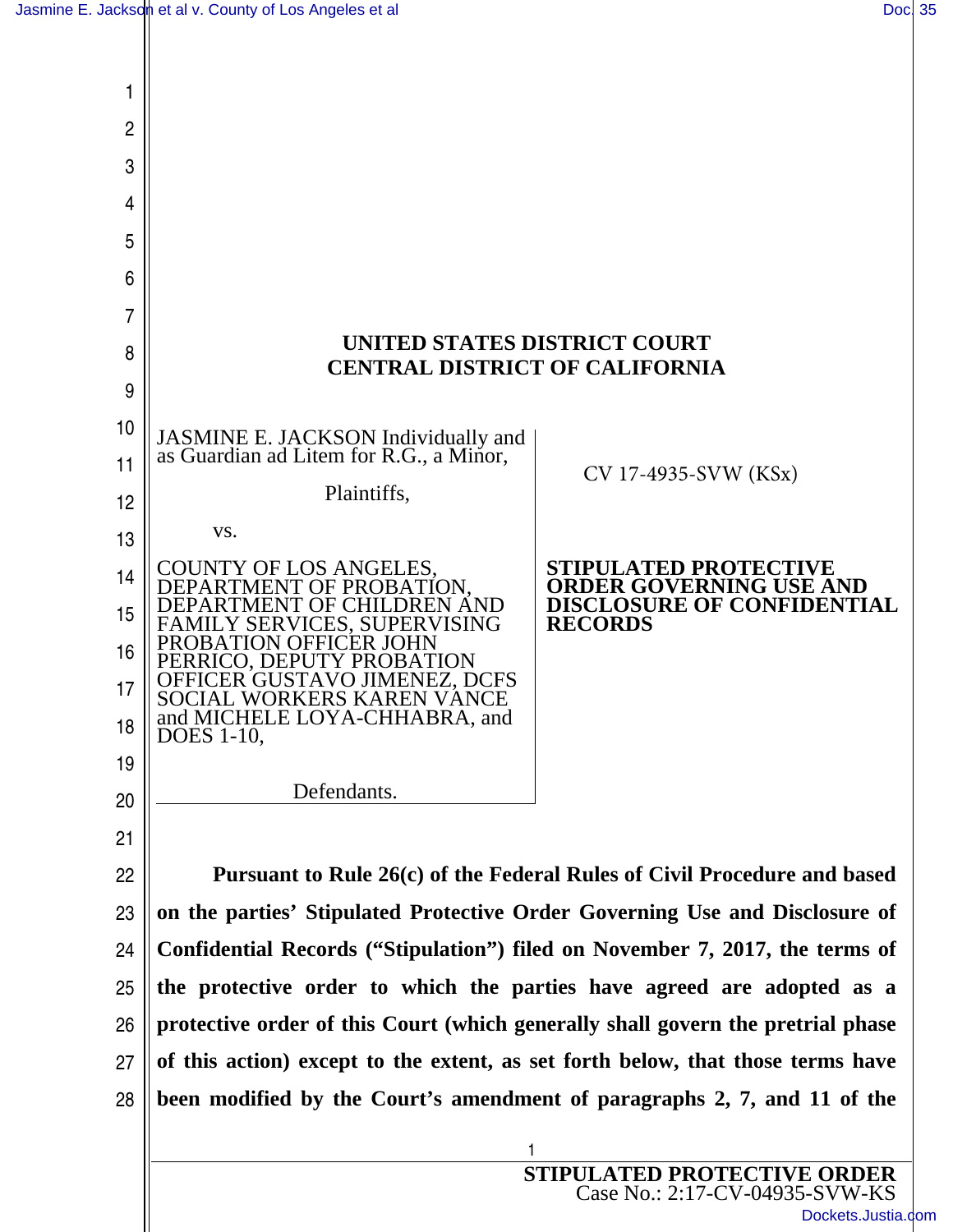

Case No.: 2:17-CV-04935-SVW-KS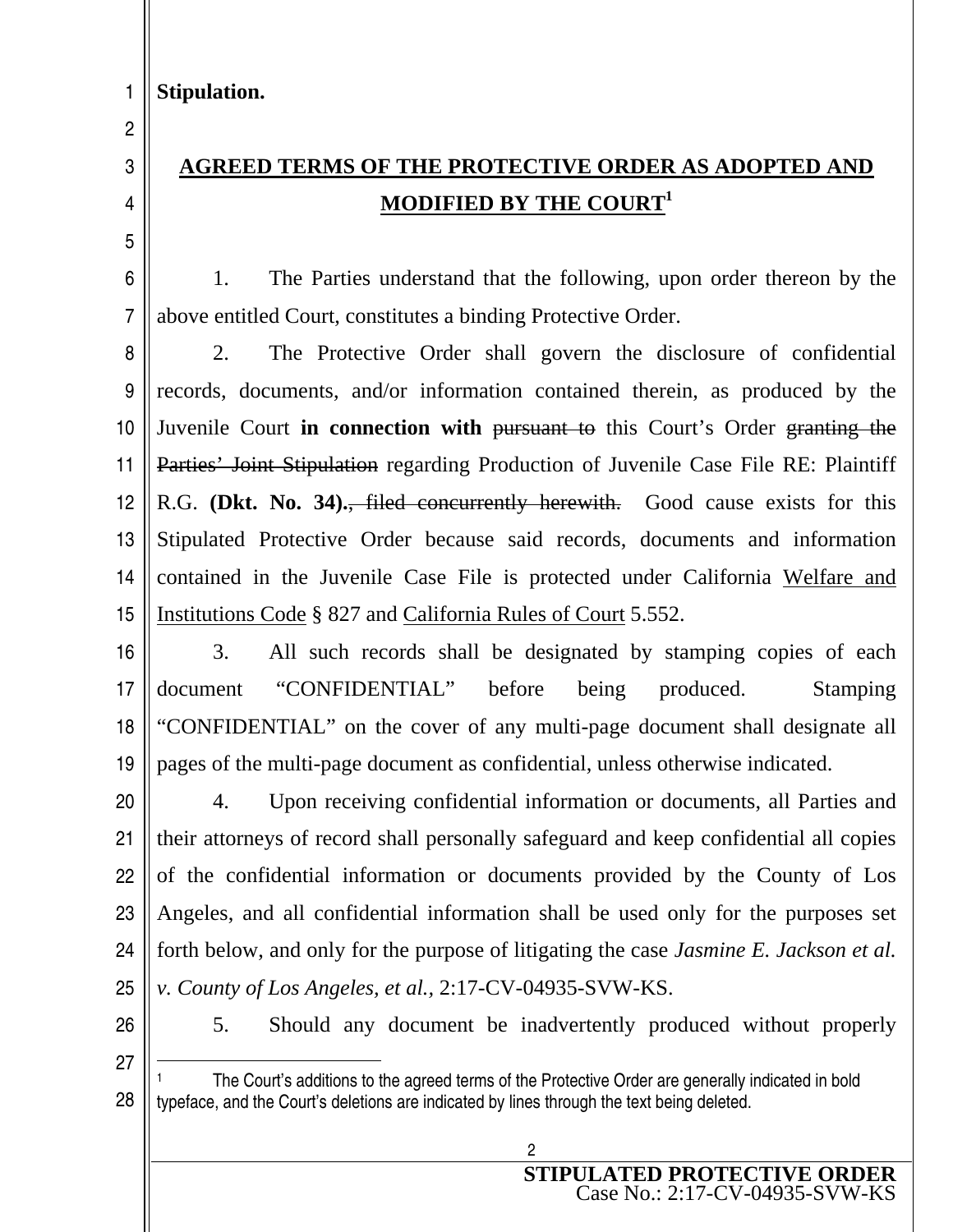2

3

4

5

## **AGREED TERMS OF THE PROTECTIVE ORDER AS ADOPTED AND MODIFIED BY THE COURT<sup>1</sup>**

6 7 1. The Parties understand that the following, upon order thereon by the above entitled Court, constitutes a binding Protective Order.

8 9 10 11 12 13 14 15 2. The Protective Order shall govern the disclosure of confidential records, documents, and/or information contained therein, as produced by the Juvenile Court **in connection with** pursuant to this Court's Order granting the Parties' Joint Stipulation regarding Production of Juvenile Case File RE: Plaintiff R.G. **(Dkt. No. 34).**, filed concurrently herewith. Good cause exists for this Stipulated Protective Order because said records, documents and information contained in the Juvenile Case File is protected under California Welfare and Institutions Code § 827 and California Rules of Court 5.552.

16 17 18 19 3. All such records shall be designated by stamping copies of each document "CONFIDENTIAL" before being produced. Stamping "CONFIDENTIAL" on the cover of any multi-page document shall designate all pages of the multi-page document as confidential, unless otherwise indicated.

20 21 22 23 24 25 4. Upon receiving confidential information or documents, all Parties and their attorneys of record shall personally safeguard and keep confidential all copies of the confidential information or documents provided by the County of Los Angeles, and all confidential information shall be used only for the purposes set forth below, and only for the purpose of litigating the case *Jasmine E. Jackson et al. v. County of Los Angeles, et al.,* 2:17-CV-04935-SVW-KS.

26

5. Should any document be inadvertently produced without properly

<sup>27</sup> 28  $\overline{a}$ <sup>1</sup>The Court's additions to the agreed terms of the Protective Order are generally indicated in bold typeface, and the Court's deletions are indicated by lines through the text being deleted.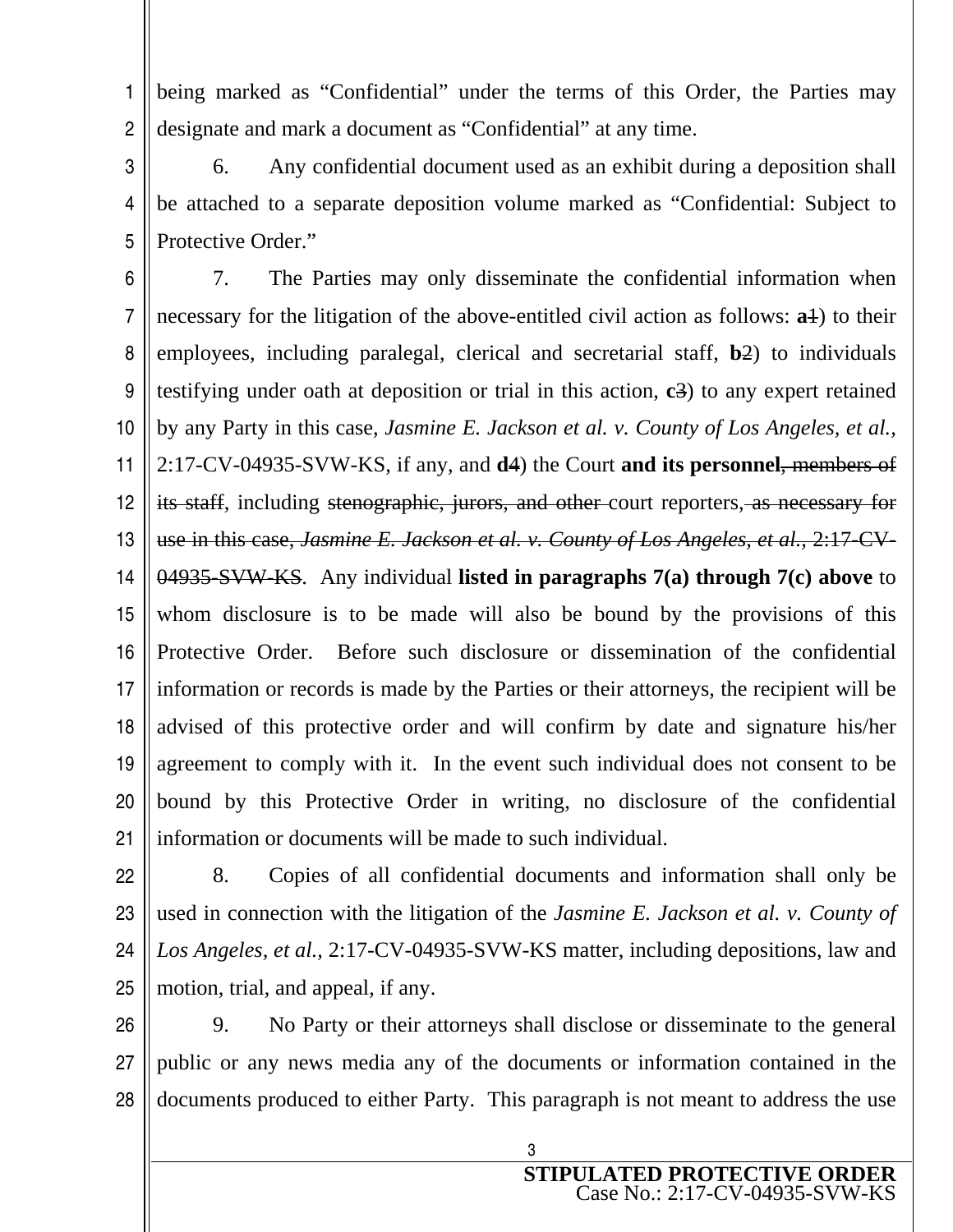1 2 being marked as "Confidential" under the terms of this Order, the Parties may designate and mark a document as "Confidential" at any time.

3 4 5 6. Any confidential document used as an exhibit during a deposition shall be attached to a separate deposition volume marked as "Confidential: Subject to Protective Order."

6 7 8 9 10 11 12 13 14 15 16 17 18 19 20 21 7. The Parties may only disseminate the confidential information when necessary for the litigation of the above-entitled civil action as follows: **a**1) to their employees, including paralegal, clerical and secretarial staff, **b**2) to individuals testifying under oath at deposition or trial in this action, **c**3) to any expert retained by any Party in this case, *Jasmine E. Jackson et al. v. County of Los Angeles, et al.,* 2:17-CV-04935-SVW-KS, if any, and **d**4) the Court **and its personnel**, members of its staff, including stenographic, jurors, and other court reporters, as necessary for use in this case, *Jasmine E. Jackson et al. v. County of Los Angeles, et al.,* 2:17-CV-04935-SVW-KS. Any individual **listed in paragraphs 7(a) through 7(c) above** to whom disclosure is to be made will also be bound by the provisions of this Protective Order. Before such disclosure or dissemination of the confidential information or records is made by the Parties or their attorneys, the recipient will be advised of this protective order and will confirm by date and signature his/her agreement to comply with it. In the event such individual does not consent to be bound by this Protective Order in writing, no disclosure of the confidential information or documents will be made to such individual.

22 23 24 25 8. Copies of all confidential documents and information shall only be used in connection with the litigation of the *Jasmine E. Jackson et al. v. County of Los Angeles, et al.,* 2:17-CV-04935-SVW-KS matter, including depositions, law and motion, trial, and appeal, if any.

26 27 28 9. No Party or their attorneys shall disclose or disseminate to the general public or any news media any of the documents or information contained in the documents produced to either Party. This paragraph is not meant to address the use

> **STIPULATED PROTECTIVE ORDER**  Case No.: 2:17-CV-04935-SVW-KS

3